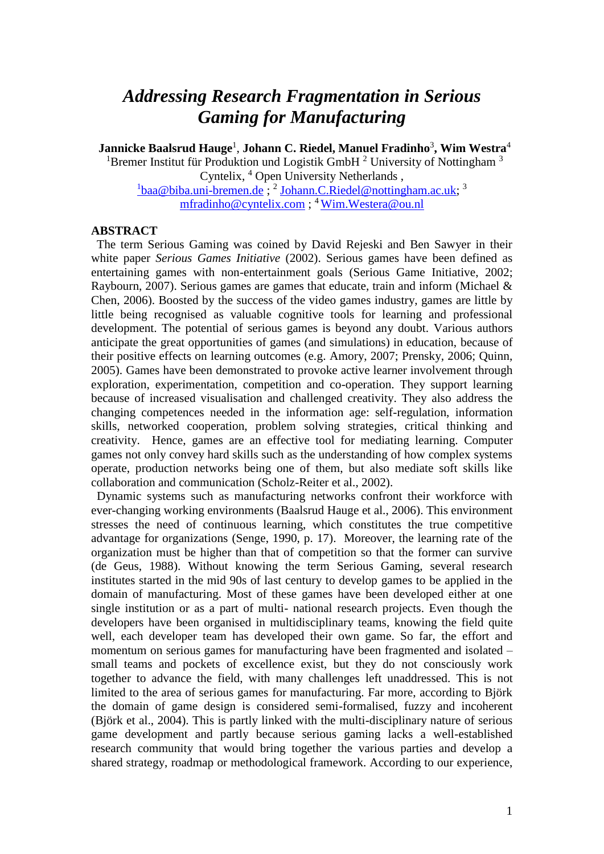## *Addressing Research Fragmentation in Serious Gaming for Manufacturing*

**Jannicke Baalsrud Hauge**<sup>1</sup> , **Johann C. Riedel, Manuel Fradinho**<sup>3</sup> **, Wim Westra**<sup>4</sup>

<sup>1</sup>Bremer Institut für Produktion und Logistik GmbH  $^2$  University of Nottingham  $^3$ Cyntelix, <sup>4</sup> Open University Netherlands , <sup>1</sup>[baa@biba.uni-bremen.de](mailto:1baa@biba.uni-bremen.de); <sup>2</sup> [Johann.C.Riedel@nottingham.ac.uk;](mailto:Johann.C.Riedel@nottingham.ac.uk) <sup>3</sup>

[mfradinho@cyntelix.com](mailto:mfradinho@cyntelix.com) ; <sup>4</sup>[Wim.Westera@ou.nl](mailto:Wim.Westera@ou.nl)

## **ABSTRACT**

The term Serious Gaming was coined by David Rejeski and Ben Sawyer in their white paper *Serious Games Initiative* (2002). Serious games have been defined as entertaining games with non-entertainment goals (Serious Game Initiative, 2002; Raybourn, 2007). Serious games are games that educate, train and inform (Michael & Chen, 2006). Boosted by the success of the video games industry, games are little by little being recognised as valuable cognitive tools for learning and professional development. The potential of serious games is beyond any doubt. Various authors anticipate the great opportunities of games (and simulations) in education, because of their positive effects on learning outcomes (e.g. Amory, 2007; Prensky, 2006; Quinn, 2005). Games have been demonstrated to provoke active learner involvement through exploration, experimentation, competition and co-operation. They support learning because of increased visualisation and challenged creativity. They also address the changing competences needed in the information age: self-regulation, information skills, networked cooperation, problem solving strategies, critical thinking and creativity. Hence, games are an effective tool for mediating learning. Computer games not only convey hard skills such as the understanding of how complex systems operate, production networks being one of them, but also mediate soft skills like collaboration and communication (Scholz-Reiter et al., 2002).

Dynamic systems such as manufacturing networks confront their workforce with ever-changing working environments (Baalsrud Hauge et al., 2006). This environment stresses the need of continuous learning, which constitutes the true competitive advantage for organizations (Senge, 1990, p. 17). Moreover, the learning rate of the organization must be higher than that of competition so that the former can survive (de Geus, 1988). Without knowing the term Serious Gaming, several research institutes started in the mid 90s of last century to develop games to be applied in the domain of manufacturing. Most of these games have been developed either at one single institution or as a part of multi- national research projects. Even though the developers have been organised in multidisciplinary teams, knowing the field quite well, each developer team has developed their own game. So far, the effort and momentum on serious games for manufacturing have been fragmented and isolated – small teams and pockets of excellence exist, but they do not consciously work together to advance the field, with many challenges left unaddressed. This is not limited to the area of serious games for manufacturing. Far more, according to Björk the domain of game design is considered semi-formalised, fuzzy and incoherent (Björk et al., 2004). This is partly linked with the multi-disciplinary nature of serious game development and partly because serious gaming lacks a well-established research community that would bring together the various parties and develop a shared strategy, roadmap or methodological framework. According to our experience,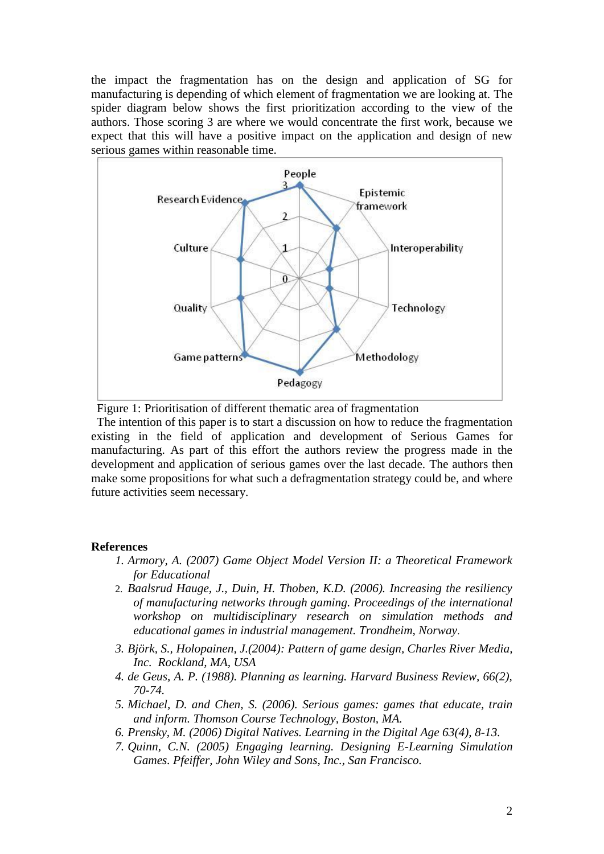the impact the fragmentation has on the design and application of SG for manufacturing is depending of which element of fragmentation we are looking at. The spider diagram below shows the first prioritization according to the view of the authors. Those scoring 3 are where we would concentrate the first work, because we expect that this will have a positive impact on the application and design of new serious games within reasonable time.



Figure 1: Prioritisation of different thematic area of fragmentation

The intention of this paper is to start a discussion on how to reduce the fragmentation existing in the field of application and development of Serious Games for manufacturing. As part of this effort the authors review the progress made in the development and application of serious games over the last decade. The authors then make some propositions for what such a defragmentation strategy could be, and where future activities seem necessary.

## **References**

- *1. Armory, A. (2007) Game Object Model Version II: a Theoretical Framework for Educational*
- 2. *Baalsrud Hauge, J., Duin, H. Thoben, K.D. (2006). Increasing the resiliency of manufacturing networks through gaming. Proceedings of the international workshop on multidisciplinary research on simulation methods and educational games in industrial management. Trondheim, Norway*.
- *3. Björk, S., Holopainen, J.(2004): Pattern of game design, Charles River Media, Inc. Rockland, MA, USA*
- *4. de Geus, A. P. (1988). Planning as learning. Harvard Business Review, 66(2), 70-74.*
- *5. Michael, D. and Chen, S. (2006). Serious games: games that educate, train and inform. Thomson Course Technology, Boston, MA.*
- *6. Prensky, M. (2006) Digital Natives. Learning in the Digital Age 63(4), 8-13.*
- *7. Quinn, C.N. (2005) Engaging learning. Designing E-Learning Simulation Games. Pfeiffer, John Wiley and Sons, Inc., San Francisco.*